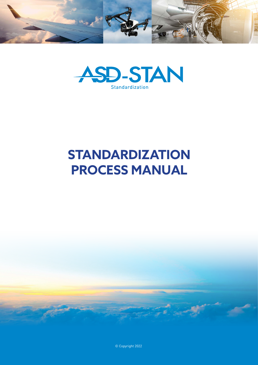



# **STANDARDIZATION PROCESS MANUAL**



© Copyright 2022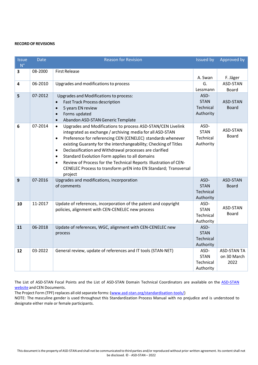#### **RECORDOF REVISIONS**

| <b>Issue</b><br>$N^{\circ}$ | <b>Date</b> | <b>Reason for Revision</b>                                                    | <b>Issued by</b> | Approved by        |
|-----------------------------|-------------|-------------------------------------------------------------------------------|------------------|--------------------|
| 3                           | 08-2000     | <b>First Release</b>                                                          |                  |                    |
|                             |             |                                                                               | A. Swan          | F. Jäger           |
| $\overline{\mathbf{4}}$     | 06-2010     | Upgrades and modifications to process                                         | G.               | ASD-STAN           |
|                             |             |                                                                               | Lessmann         | <b>Board</b>       |
| 5                           | 07-2012     | Upgrades and Modifications to process:                                        | ASD-             |                    |
|                             |             | <b>Fast Track Process description</b><br>$\bullet$                            | <b>STAN</b>      | ASD-STAN           |
|                             |             | 5 years EN review<br>$\bullet$                                                | Technical        | <b>Board</b>       |
|                             |             | Forms updated<br>$\bullet$                                                    | Authority        |                    |
|                             |             | Abandon ASD-STAN Generic Template<br>$\bullet$                                |                  |                    |
| 6                           | 07-2014     | Upgrades and Modifications to process ASD-STAN/CEN Livelink<br>$\bullet$      | ASD-             | ASD-STAN           |
|                             |             | integrated as exchange / archiving media for all ASD-STAN                     | <b>STAN</b>      | Board              |
|                             |             | Preference for referencing CEN (CENELEC) standards whenever<br>$\bullet$      | Technical        |                    |
|                             |             | existing Guaranty for the interchangeability; Checking of Titles              | Authority        |                    |
|                             |             | Declassification and Withdrawal processes are clarified<br>$\bullet$          |                  |                    |
|                             |             | Standard Evolution Form applies to all domains<br>$\bullet$                   |                  |                    |
|                             |             | Review of Process for the Technical Reports Illustration of CEN-<br>$\bullet$ |                  |                    |
|                             |             | CENELEC Process to transform prEN into EN Standard; Transversal               |                  |                    |
| 9                           | 07-2016     | project<br>Upgrades and modifications, incorporation                          | ASD-             | ASD-STAN           |
|                             |             | of comments                                                                   | <b>STAN</b>      | <b>Board</b>       |
|                             |             |                                                                               | Technical        |                    |
|                             |             |                                                                               | Authority        |                    |
| 10                          | 11-2017     | Update of references, incorporation of the patent and copyright               | ASD-             |                    |
|                             |             | policies, alignment with CEN-CENELEC new process                              | <b>STAN</b>      | ASD-STAN           |
|                             |             |                                                                               | Technical        | <b>Board</b>       |
|                             |             |                                                                               | Authority        |                    |
| 11                          | 06-2018     | Update of references, WGC, alignment with CEN-CENELEC new                     | ASD-             |                    |
|                             |             | process                                                                       | <b>STAN</b>      |                    |
|                             |             |                                                                               | Technical        |                    |
|                             |             |                                                                               | Authority        |                    |
| 12                          | 03-2022     | General review, update of references and IT tools (STAN-NET)                  | ASD-             | <b>ASD-STAN TA</b> |
|                             |             |                                                                               | <b>STAN</b>      | on 30 March        |
|                             |             |                                                                               | Technical        | 2022               |
|                             |             |                                                                               | Authority        |                    |

The List of ASD-STAN Focal Points and the List of ASD-STAN Domain Technical Coordinators are available on the [ASD-STAN](https://asd-stan.org/domains-of-asd-stan/) [website](https://asd-stan.org/domains-of-asd-stan/) and CEN Documents.

The Project Form (TPF) replaces all old separate forms: [\(www.asd-stan.org/standardisation-tools/\)](http://www.asd-stan.org/standardisation-tools/)

NOTE: The masculine gender is used throughout this Standardization Process Manual with no prejudice and is understood to designate either male or female participants.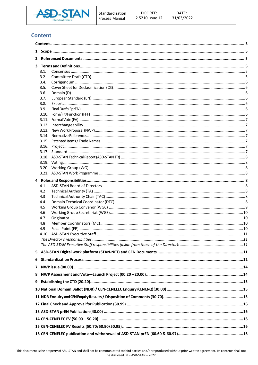

# <span id="page-2-0"></span>**Content**

| 3 |            |  |  |  |  |  |  |
|---|------------|--|--|--|--|--|--|
|   | 3.1.       |  |  |  |  |  |  |
|   | 3.2.       |  |  |  |  |  |  |
|   | 3.4.       |  |  |  |  |  |  |
|   | 3.5.       |  |  |  |  |  |  |
|   | 3.6.       |  |  |  |  |  |  |
|   | 3.7.       |  |  |  |  |  |  |
|   | 3.8.       |  |  |  |  |  |  |
|   | 3.9.       |  |  |  |  |  |  |
|   | 3.10.      |  |  |  |  |  |  |
|   |            |  |  |  |  |  |  |
|   |            |  |  |  |  |  |  |
|   |            |  |  |  |  |  |  |
|   |            |  |  |  |  |  |  |
|   |            |  |  |  |  |  |  |
|   |            |  |  |  |  |  |  |
|   |            |  |  |  |  |  |  |
|   |            |  |  |  |  |  |  |
|   |            |  |  |  |  |  |  |
|   |            |  |  |  |  |  |  |
|   |            |  |  |  |  |  |  |
|   | 4.1        |  |  |  |  |  |  |
|   | 4.2        |  |  |  |  |  |  |
|   | 4.3        |  |  |  |  |  |  |
|   | 4.4        |  |  |  |  |  |  |
|   | 4.5        |  |  |  |  |  |  |
|   | 4.6        |  |  |  |  |  |  |
|   | 4.7        |  |  |  |  |  |  |
|   | 4.8<br>4.9 |  |  |  |  |  |  |
|   | 4. 1 N     |  |  |  |  |  |  |
|   |            |  |  |  |  |  |  |
|   |            |  |  |  |  |  |  |
|   |            |  |  |  |  |  |  |
|   |            |  |  |  |  |  |  |
| 6 |            |  |  |  |  |  |  |
|   |            |  |  |  |  |  |  |
| 8 |            |  |  |  |  |  |  |
| 9 |            |  |  |  |  |  |  |
|   |            |  |  |  |  |  |  |
|   |            |  |  |  |  |  |  |
|   |            |  |  |  |  |  |  |
|   |            |  |  |  |  |  |  |
|   |            |  |  |  |  |  |  |
|   |            |  |  |  |  |  |  |
|   |            |  |  |  |  |  |  |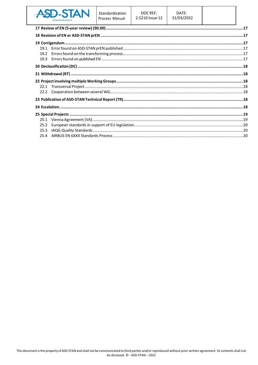

| 19.2 |  |  |  |  |  |  |
|------|--|--|--|--|--|--|
| 19.3 |  |  |  |  |  |  |
|      |  |  |  |  |  |  |
|      |  |  |  |  |  |  |
|      |  |  |  |  |  |  |
|      |  |  |  |  |  |  |
| 22.2 |  |  |  |  |  |  |
|      |  |  |  |  |  |  |
|      |  |  |  |  |  |  |
|      |  |  |  |  |  |  |
| 25.1 |  |  |  |  |  |  |
| 25.2 |  |  |  |  |  |  |
| 25.3 |  |  |  |  |  |  |
| 25.4 |  |  |  |  |  |  |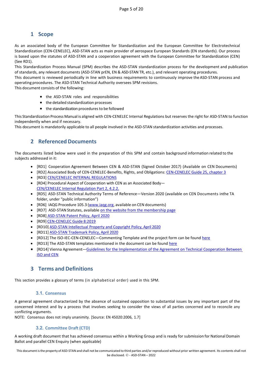# **1 Scope**

<span id="page-4-0"></span>As an associated body of the European Committee for Standardization and the European Committee for Electrotechnical Standardization (CEN-CENELEC), ASD-STAN acts as main provider of aerospace European Standards (EN standards). Our process is based upon the statutes of ASD-STAN and a cooperation agreement with the European Committee for Standardization (CEN) (See RD1).

This Standardization Process Manual (SPM) describes the ASD-STAN standardization process for the development and publication of standards, any relevant documents (ASD-STAN prEN, EN & ASD-STAN TR, etc.), and relevant operating procedures.

This document is reviewed periodically in line with business requirements to continuously improve the ASD-STAN process and operating procedures. The ASD-STAN Technical Authority oversees SPM revisions.

This document consists of the following:

- the ASD-STAN roles and responsibilities
- the detailed standardization processes
- the standardization procedures to be followed

This Standardization Process Manual is aligned with CEN-CENELEC Internal Regulations but reserves the right for ASD-STAN to function independently when and if necessary.

<span id="page-4-1"></span>This document is mandatorily applicable to all people involved in the ASD-STAN standardization activities and processes.

## **2 Referenced Documents**

The documents listed below were used in the preparation of this SPM and contain background information related to the subjects addressed in it:

- [RD1] Cooperation Agreement Between CEN & ASD-STAN (Signed October 2017) (Available on CEN Documents)
- [RD2] Associated Body of CEN-CENELEC-Benefits, Rights, and Obligations: CEN-CENELEC [Guide 25, chapter 3](https://boss.cen.eu/media/Guides/CEN-CLC/cenclcguide25.pdf)
- [RD3] [CEN/CENELEC INTERNAL REGULATIONS](http://boss.cen.eu/reference%20material/RefDocs/Pages/default.aspx)
- [RD4] Procedural Aspect of Cooperation with CEN as an Associated Body— [CEN/CENELEC Internal Regulation Part 2, 4.2.2.](https://boss.cen.eu/media/BOSS%20CEN/ref/ir2_e.pdf)
- [RD5] ASD-STAN Technical Authority Terms of Reference—Version 2020 (available on CEN Documents inthe TA folder, under "public information")
- [RD6] IAQG Procedure 105.3 [\(www.iaqg.org, a](http://www.iaqg.org/)vailable on CEN documents)
- [RD7] ASD-STAN Statutes, available [on the website from the membership page](https://asd-stan.org/membership/)
- [RD8] [ASD-STAN Patent Policy, April 2020](https://asd-stan.org/wp-content/uploads/ASD-STAN-Patent-Policy-2020.pdf)
- [RD9[\] CEN-CENELEC](https://www.cencenelec.eu/media/Guides/CEN-CLC/cenclcguide8.pdf) Guide 8:2019
- [RD10] [ASD-STAN Intellectual Property and Copyright Policy, April 2020](https://asd-stan.org/wp-content/uploads/ASD-STAN-copyright-and-IPR-Policy-2020.pdf)
- [RD11] [ASD-STAN Trademark Policy, April 2020](https://asd-stan.org/wp-content/uploads/ASD-STAN-Trademark-Policy-2020.pdf)
- [RD12] The ISO-IEC-CEN-CENELEC—Commenting Template and the project form can be found [here](https://asd-stan.org/standardisation-tools/)
- [RD13] The ASD-STAN templates mentioned in the document can be foun[d here](https://asd-stan.org/standardisation-tools/)
- [RD14] Vienna Agreement[—Guidelines for the Implementation of the Agreement on Technical Cooperation Between](https://boss.cen.eu/media/CEN/ref/va_guidelines_implementation.pdf)  [ISO and CEN](https://boss.cen.eu/media/CEN/ref/va_guidelines_implementation.pdf)

## **3 Terms and Definitions**

<span id="page-4-3"></span><span id="page-4-2"></span>This section provides a glossary of terms (in alphabetical order) used in this SPM.

## **3.1. Consensus**

A general agreement characterized by the absence of sustained opposition to substantial issues by any important part of the concerned interest and by a process that involves seeking to consider the views of all parties concerned and to reconcile any conflicting arguments.

NOTE: Consensus does not imply unanimity. [Source: EN 45020:2006, 1.7]

## **3.2. Committee Draft(CTD)**

<span id="page-4-4"></span>A working draft document that has achieved consensus within a Working Group and is ready for submission for National Domain Ballot and parallel CEN Enquiry (when applicable)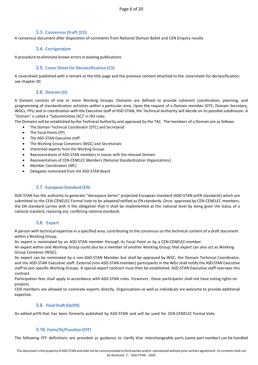## **3.3. Consensus Draft (CD)**

A consensus document after disposition of comments from National Domain Ballot and CEN Enquiry results

## **3.4. Corrigendum**

<span id="page-5-0"></span>A procedure to eliminate known errors in existing publications

#### **3.5. Cover Sheetfor Declassification (CS)**

<span id="page-5-1"></span>A coversheet published with a remark at the title page and the previous content attached to the coversheet for declassification; see chapter 20.

## **3.6. Domain (D)**

<span id="page-5-2"></span>A Domain consists of one or more Working Groups. Domains are defined to provide coherent coordination, planning, and programming of standardization activities within a particular area. Upon the request of a Domain member (DTC, Domain Secretary, WGCs, FPs) and in coordination with the Executive staff of ASD-STAN, the Technical Authority will decide on its possible subdivision. A "Domain" is called a "Subcommittee (SC)" in ISO rules.

The Domains will be established by the Technical Authority and approved by the TAC. The members of a Domain are as follows:

- The Domain Technical Coordinator (DTC) and Secretariat
- The Focal Points (FP)
- The ASD-STAN Executive staff
- The Working Group Convenors (WGC) and Secretariats
- Interested experts from the Working Groups
- Representatives of ASD-STAN members in liaison with the relevant Domain
- Representatives of CEN-CENELEC Members (National Standardization Organizations)
- Member Coordinators (MC)
- Delegates nominated from the ASD-STAN Board

## **3.7. EuropeanStandard(EN)**

<span id="page-5-3"></span>ASD-STAN has the authority to generate "Aerospace Series" projected European standard (ASD-STAN prEN standards) which are submitted to the CEN-CENELEC Formal Vote to be adopted/ratified as EN standards. Once approved by CEN-CENELEC members, the EN standard carries with it the obligation that it shall be implemented at the national level by being given the status of a national standard, replacing any conflicting national standards.

## **3.8. Expert**

<span id="page-5-4"></span>A person with technical expertise in a specified area, contributing to the consensus on the technical content of a draft document within a Working Group.

An expert is nominated by an ASD-STAN member through its Focal Point or by a CEN-CENELECmember.

An expert within one Working Group could also be a member of another Working Group; that expert can also act as Working Group Convenor (WGC).

An expert can be nominated by a non-ASD-STAN Member but shall be approved by WGC, the Domain Technical Coordinator, and the ASD-STAN Executive staff. External (non-ASD-STAN member) participants in the WGs shall notify the ASD-STAN Executive staff to join specific Working Groups. A special expert contract must then be established. ASD-STAN Executive staff oversees this contract.

Participation fees shall apply in accordance with ASD-STAN rules. However, these participants shall not have voting rights on projects.

CEN members are allowed to nominate experts directly. Organisations as well as individuals are welcome to provide additional expertise.

## **3.9. FinalDraft(FprEN)**

<span id="page-5-5"></span>An edited prEN that has been formerly published by ASD-STAN and will be used for CEN-CENELEC Formal Vote.

## <span id="page-5-6"></span>**3.10. Form/Fit/Function(FFF)**

The following FFF definitions are provided as guidance to clarify that interchangeable parts (same part number) can be handled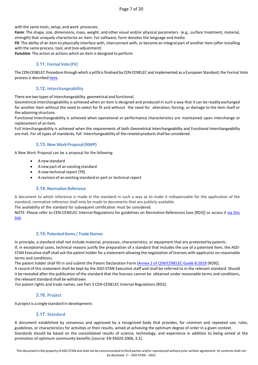with the same tools, setup, and work processes.

*Form*: The shape, size, dimensions, mass, weight, and other visual and/or physical parameters (e.g., surface treatment, material, strength) that uniquely characterize an item. For software, form denotes the language and media

Fit: The ability of an item to physically interface with, interconnect with, or become an integral part of another item (after installing with the same process, tool, and tool-adjustment)

*Function*: The action or actions which an item is designed to perform

## <span id="page-6-0"></span>**3.11. FormalVote(FV)**

The CEN-CENELEC Procedure through which a prEN isfinalised by CEN-CENELEC and implemented as a European Standard; the Formal Vote process is describe[d here.](https://boss.cen.eu/developingdeliverables/pages/en/pages/fv/)

## <span id="page-6-1"></span>**3.12. Interchangeability**

There are two types of Interchangeability: geometrical and functional.

Geometrical Interchangeability is achieved when an item is designed and produced in such a way that it can be readily exchanged for another item without the need to select for fit and without the need for alteration, forcing, or damage to the item itself or the adjoining structure.

Functional Interchangeability is achieved when operational or performance characteristics are maintained upon interchange or replacement of an item.

Full Interchangeability is achieved when the requirements of both Geometrical Interchangeability and Functional Interchangeability are met. For all types of standards, full Interchangeability of the related productsshall be considered.

## <span id="page-6-2"></span>**3.13. NewWorkProposal(NWP)**

A New Work Proposal can be a proposal for the following:

- A new standard
- A new part of an existing standard
- A new technical report (TR)
- A revision of an existing standard or part or technical report

## <span id="page-6-3"></span>**3.14. Normative Reference**

A document to which reference is made in the standard in such a way as to make it indispensable for the application of the standard; normative reference shall only be made to documents that are publicly available.

The availability of the standard for subsequent certification must be considered.

NOTE: Please refer to CEN-CENELEC Internal Regulations for guidelines on Normative References (see [RD3]) or access it via this [link.](https://boss.cen.eu/reference-material/guidancedoc/pages/normref/) 

## <span id="page-6-4"></span>**3.15. Patented Items / Trade Names**

In principle, a standard shall not include material, processes, characteristics, or equipment that are protected by patents. If, in exceptional cases, technical reasons justify the preparation of a standard that includes the use of a patented item, the ASD-STAN Executive staff shall ask the patent holder for a statement allowing the negotiation of licenses with applicants on reasonable terms and conditions.

The patent holder shall fill in and submit the Patent Declaration Form (Annex 2 of [CEN/CENELEC](https://www.cencenelec.eu/media/Guides/CEN-CLC/cenclcguide8.pdf) Guide 8:2019 [RD9]).

A record of this statement shall be kept by the ASD-STAN Executive staff and shall be referred to in the relevant standard. Should it be revealed after the publication of the standard that the licenses cannot be obtained under reasonable terms and conditions, the relevant standard shall be withdrawn.

For patent rights and trade names, see Part 3 CEN-CENELEC Internal Regulations [RD3].

## <span id="page-6-5"></span>**3.16. Project**

A project is a single standard in development.

## <span id="page-6-6"></span>**3.17. Standard**

A document established by consensus and approved by a recognized body that provides, for common and repeated use, rules, guidelines, or characteristics for activities or their results, aimed at achieving the optimum degree of order in a given context. Standards should be based on the consolidated results of science, technology, and experience in addition to being aimed at the promotion of optimum community benefits [source: EN 45020:2006, 3.2].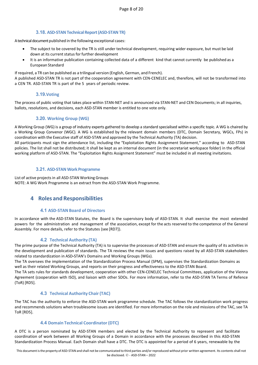## <span id="page-7-0"></span>**3.18. ASD-STAN Technical Report (ASD-STAN TR)**

A technical document published in the following exceptional cases:

- The subject to be covered by the TR is still under technical development, requiring wider exposure, but must be laid down at its current status for further development
- It is an informative publication containing collected data of a different kind that cannot currently be published as a European Standard

If required, a TR can be published as a trilingual version (English, German, and French).

A published ASD-STAN TR is not part of the cooperation agreement with CEN-CENELEC and, therefore, will not be transformed into a CEN TR. ASD-STAN TR is part of the 5 years of periodic review.

## **3.19.Voting**

<span id="page-7-1"></span>The process of public voting that takes place within STAN-NET and is announced via STAN-NET and CEN Documents; in all inquiries, ballots, resolutions, and decisions, each ASD-STAN member is entitled to one vote only.

## <span id="page-7-2"></span>**3.20. Working Group (WG)**

AWorking Group (WG) is a group of industry experts gathered to develop a standard specialised within a specific topic. A WG is chaired by a Working Group Convenor (WGC). A WG is established by the relevant domain members (DTC, Domain Secretary, WGCs, FPs) in coordination with the Executive staff of ASD-STAN and approved by the Technical Authority (TA) decision.

All participants must sign the attendance list, including the "Exploitation Rights Assignment Statement," according to ASD-STAN policies. The list shall not be distributed; it shall be kept as an internal document (in the secretariat workspace folder) in the official working platform of ASD-STAN. The "Exploitation Rights Assignment Statement" must be included in all meeting invitations.

#### <span id="page-7-3"></span>**3.21. ASD-STAN Work Programme**

List of active projects in all ASD-STAN Working Groups NOTE: A WG Work Programme is an extract from the ASD-STAN Work Programme.

## <span id="page-7-4"></span>**4 Roles and Responsibilities**

## **4.1 ASD-STAN Board of Directors**

<span id="page-7-5"></span>In accordance with the ASD-STAN Statutes, the Board is the supervisory body of ASD-STAN. It shall exercise the most extended powers for the administration and management of the association, except for the acts reserved to the competence of the General Assembly. For more details, refer to the Statutes (see [RD7]).

## **4.2 Technical Authority (TA)**

<span id="page-7-6"></span>The prime purpose of the Technical Authority (TA) is to supervise the processes of ASD-STAN and ensure the quality of its activities in the development and publication of standards. The TA reviews the main issues and questions raised by all ASD-STAN stakeholders related to standardization in ASD**-**STAN's Domains and Working Groups (WGs).

The TA oversees the implementation of the Standardization Process Manual (SPM), supervises the Standardization Domains as well as their related Working Groups, and reports on their progress and effectiveness to the ASD-STAN Board.

The TA sets rules for standards development, cooperation with other CEN-CENELEC Technical Committees, application of the Vienna Agreement (cooperation with ISO), and liaison with other SDOs. For more information, refer to the ASD-STAN TA Terms of Refence (ToR) [RD5].

## **4.3 Technical Authority Chair(TAC)**

<span id="page-7-7"></span>The TAC has the authority to enforce the ASD-STAN work programme schedule. The TAC follows the standardization work progress and recommends solutions when troublesome issues are identified. For more information on the role and missions of the TAC, see TA ToR [RD5].

## **4.4 Domain Technical Coordinator(DTC)**

<span id="page-7-8"></span>A DTC is a person nominated by ASD-STAN members and elected by the Technical Authority to represent and facilitate coordination of work between all Working Groups of a Domain in accordance with the processes described in this ASD-STAN Standardization Process Manual. Each Domain shall have a DTC. The DTC is appointed for a period of 6 years, renewable by the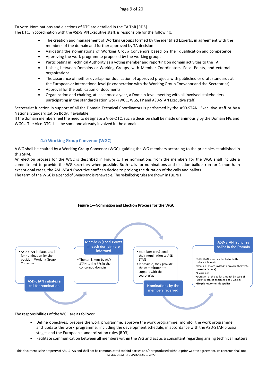Page 9 of 20

TA vote. Nominations and elections of DTC are detailed in the TA ToR [RD5].

The DTC, in coordination with the ASD-STAN Executive staff, is responsible for the following:

- The creation and management of Working Groups formed by the identified Experts, in agreement with the members of the domain and further approved by TA decision
- Validating the nominations of Working Group Convenors based on their qualification and competence
- Approving the work programme proposed by the working groups
- Participating in Technical Authority as a voting member and reporting on domain activities to the TA
- Liaising between Domains or Working Groups, with Member Coordinators, Focal Points, and external organizations
- The assurance of neither overlap nor duplication of approved projects with published or draft standards at the European or International level (in cooperation with the Working Group Convenor and the Secretariat)
- Approval for the publication of documents
- Organization and chairing, at least once a year, a Domain-level meeting with all involved stakeholders participating in the standardization work (WGC, WGS, FP and ASD-STAN Executive staff)

Secretariat function in support of all the Domain Technical Coordinators is performed by the ASD-STAN Executive staff or by a National Standardization Body, if available.

If the domain members feel the need to designate a Vice-DTC, such a decision shall be made unanimously by the Domain FPs and WGCs. The Vice-DTC shall be someone already involved in the domain.

## **4.5 WorkingGroup Convenor(WGC)**

<span id="page-8-0"></span>AWG shall be chaired by a Working Group Convenor (WGC), guiding the WG members according to the principles established in this SPM.

An election process for the WGC is described in Figure 1. The nominations from the members for the WGC shall include a commitment to provide the WG secretary when possible. Both calls for nominations and election ballots run for 1 month. In exceptional cases, the ASD-STAN Executive staff can decide to prolong the duration of the calls and ballots.

The term of the WGC is a period of 6 years and is renewable. The re-balloting rules are shown in Figure 1.



**Figure 1—Nomination and Election Process for the WGC**

The responsibilities of the WGC are as follows:

- Define objectives, prepare the work programme, approve the work programme, monitor the work programme, and update the work programme, including the development schedule, in accordance with the ASD-STAN process stages and the European standardization rules [RD3]
- Facilitate communication between all members within the WG and act as a consultant regarding arising technical matters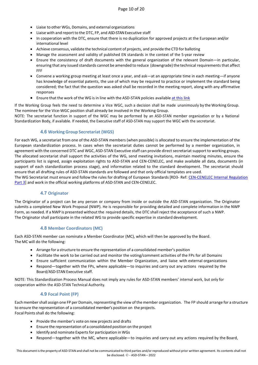- Liaise to other WGs, Domains, and external organizations
- Liaise with and report to the DTC, FP, and ASD-STAN Executive staff
- In cooperation with the DTC, ensure that there is no duplication for approved projects at the European and/or international level
- Achieve consensus, validate the technical content of projects, and provide the CTD for balloting
- Manage the assessment and validity of published EN standards in the context of the 5-year review
- Ensure the consistency of draft documents with the general organization of the relevant Domain—in particular, ensuring that any issued standards cannot be amended to reduce (downgrade) the technical requirements that affect FFF
- Convene a working group meeting at least once a year, and ask—at an appropriate time in each meeting—if anyone has knowledge of essential patents, the use of which may be required to practice or implement the standard being considered; the fact that the question was asked shall be recorded in the meeting report, along with any affirmative responses
- Ensure that the work of the WG is in line with the ASD-STAN policies available at [this link](https://www.asd-stan.org/asd-stan-rules-and-policy-documents/)

If the Working Group feels the need to determine a Vice WGC, such a decision shall be made unanimously by the Working Group. The nominee for the Vice-WGC position shall already be involved in the Working Group.

NOTE: The secretariat function in support of the WGC may be performed by an ASD-STAN member organization or by a National Standardization Body, if available. If needed, the Executive staff of ASD-STAN may support the WGC with the secretariat.

## **4.6 WorkingGroup Secretariat (WGS)**

<span id="page-9-0"></span>For each WG, a secretariat from one of the ASD-STAN members (when possible) is allocated to ensure the implementation of the European standardization process. In cases when the secretariat duties cannot be performed by a member organization, in agreement with the concerned DTC and WGC, ASD-STAN Executive staff can provide direct secretariat support to working groups. The allocated secretariat shall support the activities of the WG, send meeting invitations, maintain meeting minutes, ensure the participants list is signed, assign exploitation rights to ASD-STAN and CEN-CENELEC, and make available all data, documents (in support of each standardization process stage), and information related to the standard development. The secretariat should ensure that all drafting rules of ASD-STAN standards are followed and that only official templates are used.

The WG Secretariat must ensure and follow the rules for drafting of European Standards[RD3- Ref: [CEN-CENELEC Internal Regulation](https://boss.cen.eu/media/5mfdhtrk/ir3_e.pdf)  [Part 3\]](https://boss.cen.eu/media/5mfdhtrk/ir3_e.pdf) and work in the official working platforms of ASD-STAN and CEN-CENELEC.

#### **4.7 Originator**

<span id="page-9-1"></span>The Originator of a project can be any person or company from inside or outside the ASD-STAN organization. The Originator submits a completed New Work Proposal (NWP). He is responsible for providing detailed and complete information in the NWP Form, as needed. If a NWP is presented without the required details, the DTC shall reject the acceptance of such a NWP. The Originator shall participate in the related WG to provide specific expertise in standard development.

#### **4.8 Member Coordinators (MC)**

<span id="page-9-2"></span>Each ASD-STAN member can nominate a Member Coordinator (MC), which will then be approved by the Board. The MC will do the following:

- Arrange for a structure to ensure the representation of a consolidated member's position
- Facilitate the work to be carried out and monitor the voting/comment activities of the FPs for all Domains
- Ensure sufficient communication within the Member Organization, and liaise with external organizations
- Respond—together with the FPs, where applicable—to inquiries and carry out any actions required by the Board/ASD-STAN Executive staff.

NOTE: This Standardization Process Manual does not imply any rules for ASD-STAN members' internal work, but only for cooperation within the ASD-STAN Technical Authority.

## **4.9 Focal Point (FP)**

<span id="page-9-3"></span>Each membershall assign one FP per Domain, representing the view of the member organization. The FP should arrange for a structure to ensure the representation of a consolidated member's position on the projects. Focal Points shall do the following:

- Provide the member's vote on new projects and drafts
- Ensure the representation of a consolidated position on the project
- Identify and nominate Experts for participation in WGs
- Respond—together with the MC, where applicable—to inquiries and carry out any actions required by the Board,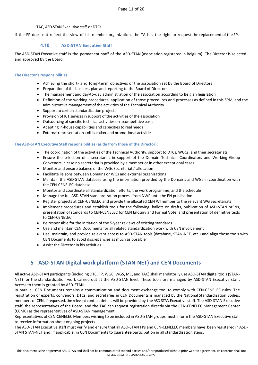#### TAC, ASD-STAN Executive staff, or DTCs.

If the FP does not reflect the view of his member organization, the TA has the right to request the replacement of the FP.

## **4.10 ASD-STAN Executive Staff**

<span id="page-10-0"></span>The ASD-STAN Executive staff is the permanent staff of the ASD-STAN (association registered in Belgium). The Director is selected and approved by the Board.

#### <span id="page-10-1"></span>**The Director's responsibilities:**

- Achieving the short- and long-term objectives of the association set by the Board of Directors
- Preparation ofthe business plan and reporting to the Board of Directors
- The management and day-to-day administration of the association according to Belgian legislation
- Definition of the working procedures, application of those procedures and processes as defined in this SPM, and the administrative management of the activities of the Technical Authority
- Support to certain standardization projects
- Provision of ICT services in support of the activities of the association
- Outsourcing of specific technical activities on a competitive basis
- Adapting in-house capabilities and capacities to real needs
- External representation, collaboration, and promotional activities

#### <span id="page-10-2"></span>**The ASD-STAN Executive Staff responsibilities (aside from those of the Director):**

- The coordination of the activities of the Technical Authority, support to DTCs, WGCs, and their secretariats
- Ensure the selection of a secretariat in support of the Domain Technical Coordinators and Working Group Convenors in case no secretariat is provided by a member or in other exceptional cases
- Monitor and ensure balance of the WGs Secretariats' allocation
- Facilitate liaisons between Domains or WGs and external organizations
- Maintain the ASD-STAN database using the information provided by the Domains and WGs in coordination with the CEN-CENELEC database
- Monitor and coordinate all standardization efforts, the work programme, and the schedule
- Manage the full ASD-STAN standardization process from NWP until the EN publication
- Register projects at CEN-CENELEC and provide the allocated CEN WI number to the relevant WG Secretariats
- Implement procedures and establish tools for the following: ballots on drafts, publication of ASD-STAN prENs, presentation of standards to CEN-CENELEC for CEN Enquiry and Formal Vote, and presentation of definitive texts to CEN-CENELEC
- Be responsible for the initiation of the 5-year reviews of existing standards
- Use and maintain CEN Documents for all related standardization work with CEN involvement
- Use, maintain, and provide relevant access to ASD-STAN tools (database, STAN-NET, etc.) and align those tools with CEN Documents to avoid discrepancies as much as possible
- Assist the Director in his activities

# **5 ASD-STAN Digital work platform (STAN-NET) and CEN Documents**

<span id="page-10-3"></span>All active ASD-STAN participants (including DTC, FP, WGC, WGS, MC, and TAC) shall mandatorily use ASD-STAN digital tools (STAN-NET) for the standardization work carried out at the ASD-STAN level. These tools are managed by ASD-STAN Executive staff. Access to them is granted by ASD-STAN.

In parallel, CEN Documents remains a communication and document exchange tool to comply with CEN-CENELEC rules. The registration of experts, convenors, DTCs, and secretaries in CEN Documents is managed by the National Standardization Bodies, members of CEN. If requested, the relevant contact details will be provided by the ASD-STAN Executive staff. The ASD-STAN Executive staff, the representatives of the Board, and the TAC can request registration directly via the CEN-CENELEC Management Center (CCMC) as the representatives of ASD-STAN management.

Representatives of CEN-CENELEC Members wishing to be included in ASD-STAN groups must inform the ASD-STAN Executive staff to receive information about ongoing projects.

The ASD-STAN Executive staff must verify and ensure that all ASD-STAN FPs and CEN-CENELEC members have been registered in ASD-STAN STAN-NET and, if applicable, in CEN Documents to guarantee participation in all standardisation steps.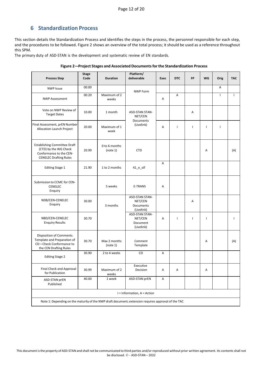## **6 Standardization Process**

<span id="page-11-0"></span>This section details the Standardization Process and identifies the steps in the process, the personnel responsible for each step, and the procedures to be followed. Figure 2 shows an overview of the total process; it should be used as a reference throughout this SPM.

The primary duty of ASD-STAN is the development and systematic review of EN standards.

| <b>Process Step</b>                                                                                                      | <b>Stage</b><br>Code | <b>Duration</b>           | Platform/<br>deliverable                                    | <b>Exec</b> | <b>DTC</b>   | <b>FP</b>    | WG             | Orig         | <b>TAC</b> |
|--------------------------------------------------------------------------------------------------------------------------|----------------------|---------------------------|-------------------------------------------------------------|-------------|--------------|--------------|----------------|--------------|------------|
| <b>NWP Issue</b>                                                                                                         | 00.00                |                           | <b>NWP Form</b>                                             |             |              |              |                | A            |            |
| <b>NWP Assessment</b>                                                                                                    | 00.20                | Maximum of 2<br>weeks     |                                                             | Α           | Α            |              |                | T            | ı          |
| Vote on NWP Review of<br><b>Target Dates</b>                                                                             | 10.00                | 1 month                   | ASD-STAN STAN-<br>NET/CEN<br>Documents                      |             |              | Α            |                |              |            |
| Final Assessment, prEN Number<br>Allocation Launch Project                                                               | 20.00                | Maximum of 1<br>week      | (Livelink)                                                  | A           | $\mathbf{I}$ | $\mathbf{I}$ | $\overline{1}$ | $\mathbf{I}$ |            |
| <b>Establishing Committee Draft</b><br>(CTD) by the WG Check<br>Conformance to the CEN-<br><b>CENELEC Drafting Rules</b> | 20.99                | 0 to 6 months<br>(note 1) | <b>CTD</b>                                                  |             |              |              | Α              |              | (A)        |
| <b>Editing Stage 1</b>                                                                                                   | 21.90                | 1 to 2 months             | $41$ <sup>e_stf</sup>                                       | Α           |              |              |                |              |            |
| Submission to CCMC for CEN-<br><b>CENELEC</b><br>Enquiry                                                                 |                      | 5 weeks                   | <b>E-TRANS</b>                                              | Α           |              |              |                |              |            |
| NDB/CEN-CENELEC<br>Enquiry                                                                                               | 30.00                | 3 months                  | <b>ASD-STAN STAN-</b><br>NET/CEN<br>Documents<br>(Livelink) |             |              | Α            |                |              |            |
| NBD/CEN-CENELEC<br><b>Enquiry Results</b>                                                                                | 30.70                |                           | ASD-STAN STAN-<br>NET/CEN<br>Document<br>(Livelink)         | Α           | $\mathbf{I}$ | $\mathbf{I}$ | $\overline{1}$ |              | T          |
| <b>Disposition of Comments</b><br>Template and Preparation of<br>CD-Check Conformance to<br>the CEN Drafting Rules       | 30.70                | Max 2 months<br>(note 1)  | Comment<br>Template                                         |             |              |              | Α              |              | (A)        |
| <b>Editing Stage 2</b>                                                                                                   | 30.90                | 2 to 4 weeks              | <b>CD</b>                                                   | Α           |              |              |                |              |            |
| Final Check and Approval<br>for Publication                                                                              | 30.99                | Maximum of 2<br>weeks     | Executive<br>Decision                                       | Α           | Α            |              | Α              |              |            |
| ASD-STAN prEN<br>Published                                                                                               | 40.00                | 1 week                    | <b>ASD-STAN prEN</b>                                        | Α           |              |              |                |              |            |
| $I = Information, A = Action$                                                                                            |                      |                           |                                                             |             |              |              |                |              |            |
| Note 1: Depending on the maturity of the NWP draft document; extension requires approval of the TAC                      |                      |                           |                                                             |             |              |              |                |              |            |

**Figure 2—Project Stages and Associated Documentsforthe Standardization Process**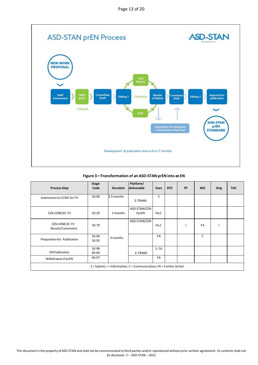

**Figure 3—Transformation of an ASD-STAN prENinto an EN**

| <b>Process Step</b>                                                   | <b>Stage</b><br>Code | <b>Duration</b> | Platform/<br>deliverable | Exec  | <b>DTC</b> | <b>FP</b> | <b>WG</b> | Orig | <b>TAC</b> |
|-----------------------------------------------------------------------|----------------------|-----------------|--------------------------|-------|------------|-----------|-----------|------|------------|
| Submission to CCMC for FV                                             | 50.00                | 3.5 months      | E-TRANS                  | S     |            |           |           |      |            |
| <b>CEN-CENELEC FV</b>                                                 | 50.20                | 2 months        | ASD-STAN/CEN<br>FprEN    | FA,C  |            |           |           |      |            |
| <b>CEN-CENELEC FV</b><br>Results/Comments                             | 50.70                |                 | ASD-STAN/CEN             | FA,C  |            |           | FA        |      |            |
| Preparation for Publication                                           | 50.90<br>50.95       | 3 months        |                          | FA    |            |           | C         |      |            |
| <b>EN Publication</b>                                                 | 50.99<br>60.60       |                 | <b>E-TRANS</b>           | S, FA |            |           |           |      |            |
| Withdrawal of prEN                                                    | 60.97                |                 |                          | FA    |            |           |           |      |            |
| $S =$ Submit, I = Information, C = Communication, FA = Further Action |                      |                 |                          |       |            |           |           |      |            |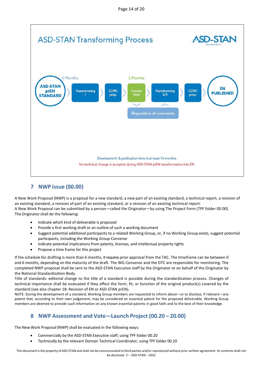

# **7 NWP issue (00.00)**

<span id="page-13-0"></span>A New Work Proposal (NWP) is a proposal for a new standard, a new part of an existing standard, a technical report, a revision of an existing standard, a revision of part of an existing standard, or a revision of an existing technical report. A New Work Proposal can be submitted by a person—called the Originator—by using The Project Form (TPF folder 00.00). The Originator shall do the following:

- Indicate which kind of deliverable is proposed
- Provide a first working draft or an outline of such a working document
- Suggest potential additional participants to a related Working Group, or, if no Working Group exists, suggest potential participants, including the Working Group Convenor
- Indicate potential implications from patents, licenses, and intellectual property rights
- Propose a time frame for this project

If the schedule for drafting is more than 6 months, it requires prior approval from the TAC. The timeframe can be between 0 and 6 months, depending on the maturity of the draft. The WG Convenor and the DTC are responsible for monitoring. The completed NWP proposal shall be sent to the ASD-STAN Executive staff by the Originator or on behalf of the Originator by the National Standardization Body.

Title of standards: editorial change to the title of a standard is possible during the standardization process. Changes of technical importance shall be evaluated if they affect the form, fit, or function of the original product(s) covered by the standard (see also chapter 18: Revision of EN or ASD-STAN prEN).

NOTE: During the development of a standard, Working Group members are requested to inform about—or to disclose, if relevant—any patent that, according to their own judgement, may be considered an essential patent for the proposed deliverable. Working Group members are deemed to provide such information on any known essential patents in good faith and to the best of their knowledge.

# **8 NWP Assessment and Vote—Launch Project (00.20 – 20.00)**

<span id="page-13-1"></span>The New Work Proposal (NWP) shall be evaluated in the following ways:

- Commercially by the ASD-STAN Executive staff, using TPF folder 00.20
- Technically by the relevant Domain Technical Coordinator, using TPF folder 00.20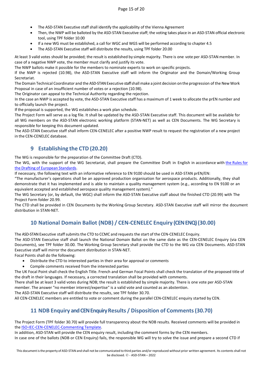- The ASD-STAN Executive staff shall identify the applicability of the Vienna Agreement
- Then, the NWP will be balloted by the ASD-STAN Executive staff; the voting takes place in an ASD-STAN official electronic tool, using TPF folder 10.00
- If a new WG must be established, a call for WGC and WGS will be performed according to chapter 4.5
- The ASD-STAN Executive staff will distribute the results, using TPF folder 20.00

At least 3 valid votes should be provided; the result is established by simple majority. There is one vote per ASD-STAN member. In case of a negative NWP vote, the member must clarify and justify its vote.

The NWP ballots make it possible for the members to nominate experts to work on specific projects.

If the NWP is rejected (10.98), the ASD-STAN Executive staff will inform the Originator and the Domain/Working Group Secretariat.

The Domain Technical Coordinator and the ASD-STAN Executive staff shall make a joint decision on the progression of the New Work Proposal in case of an insufficient number of votes or a rejection (10.98).

The Originator can appeal to the Technical Authority regarding the rejection.

In the case an NWP is accepted by vote, the ASD-STAN Executive staff has a maximum of 1 week to allocate the prEN number and to officially launch the project.

If the proposal is supported, the WG establishes a work plan schedule.

The Project Form will serve as a log file. It shall be updated by the ASD-STAN Executive staff. This document will be available for all WG members on the ASD-STAN electronic working platform (STAN-NET) as well as CEN Documents. The WG Secretary is responsible for keeping this document updated.

The ASD-STAN Executive staff shall inform CEN-CENELEC after a positive NWP result to request the registration of a new project in the CEN-CENELEC database.

## **9 Establishing the CTD (20.20)**

<span id="page-14-0"></span>The WG is responsible for the preparation of the Committee Draft (CTD).

The WG, with the support of the WG Secretariat, shall prepare the Committee Draft in English in accordance with the [Rules](https://boss.cen.eu/media/5mfdhtrk/ir3_e.pdf) for the Drafting of European [Standards.](https://boss.cen.eu/media/5mfdhtrk/ir3_e.pdf) 

If necessary, the following text with an informative reference to EN 9100 should be used in ASD-STAN prEN/EN:

"The manufacturer's operations shall be an approved production organisation for aerospace products. Additionally, they shall demonstrate that it has implemented and is able to maintain a quality management system (e.g., according to EN 9100 or an equivalent accepted and established aerospace quality management system)."

The WG Secretary (or, by default, the WGC) shall inform the ASD-STAN Executive staff about the finished CTD (20.99) with The Project Form folder 20.99.

<span id="page-14-1"></span>The CTD shall be provided in CEN Documents by the Working Group Secretary. ASD-STAN Executive staff will mirror the document distribution in STAN-NET.

# **10 National Domain Ballot (NDB) / CEN-CENELEC Enquiry (CEN ENQ) (30.00)**

The ASD-STAN Executive staffsubmits the CTD to CCMC and requests the start of the CEN-CENELEC Enquiry.

The ASD-STAN Executive staff shall launch the National Domain Ballot on the same date as the CEN-CENELEC Enquiry (via CEN Documents), see TPF folder 30.00. The Working Group Secretary shall provide the CTD to the WG via CEN Documents. ASD-STAN Executive staff will mirror the document distribution in STAN-NET.

Focal Points shall do the following:

- Distribute the CTD to interested parties in their area for approval or comments
- Compile comments received from the interested parties

The UK Focal Point shall check the English Title. French and German Focal Points shall check the translation of the proposed title of the draft in their languages. If necessary, a corrected translation shall be provided with comments.

There shall be at least 3 valid votes during NDB; the result is established by simple majority. There is one vote per ASD-STAN member. The answer "no member interest/expertise" is a valid vote and counted as an abstention.

The ASD-STAN Executive staff will distribute the results, see TPF folder 30.70.

<span id="page-14-2"></span>All CEN-CENELEC members are entitled to vote or comment during the parallel CEN-CENELEC enquiry started by CEN.

# **11 NDB Enquiry and CEN Enquiry Results / Disposition of Comments(30.70)**

The Project Form (TPF folder 30.70) will provide full transparency about the NDB results. Received comments will be provided in the [ISO-IEC-CEN-CENELEC-Commenting](http://boss.cen.eu/formtemp/Commenting_Form.doc) Template.

In addition, ASD-STAN will provide the CEN enquiry result, including the comment forms by the CEN members.

In case one of the ballots (NDB or CEN Enquiry) fails, the responsible WG will try to solve the issue and prepare a second CTD if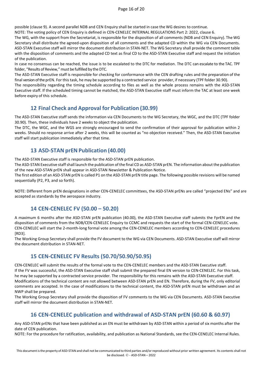possible (clause 9). A second parallel NDB and CEN Enquiry shall be started in case the WG desires to continue.

NOTE: The voting policy of CEN Enquiry is defined in CEN-CENELEC INTERNAL REGULATIONS Part 2: 2022, clause 6.

The WG, with the support from the Secretariat, is responsible for the disposition of all comments (NDB and CEN Enquiry). The WG Secretary shall distribute the agreed-upon disposition of all comments and the adapted CD within the WG via CEN Documents. ASD-STAN Executive staff will mirror the document distribution in STAN-NET. The WG Secretary shall provide the comment table with the disposition of comments and the adapted CD text as final CD to the ASD-STAN Executive staff and request the initiation of the publication.

In case no consensus can be reached, the issue is to be escalated to the DTC for mediation. The DTC can escalate to the TAC. TPF folder, "Results of Review," must be fulfilled by the DTC.

The ASD-STAN Executive staff is responsible for checking for conformance with the CEN drafting rules and the preparation of the final version of the prEN. For this task, he may be supported by a contracted service provider, if necessary (TPF folder 30.90).

The responsibility regarding the timing schedule according to files as well as the whole process remains with the ASD-STAN Executive staff. If the scheduled timing cannot be matched, the ASD-STAN Executive staff must inform the TAC at least one week before expiry of this schedule.

## **12 Final Check and Approval for Publication (30.99)**

<span id="page-15-0"></span>The ASD-STAN Executive staff sends the information via CEN Documents to the WG Secretary, the WGC, and the DTC (TPF folder 30.90). Then, these individuals have 2 weeks to object the publication.

The DTC, the WGC, and the WGS are strongly encouraged to send the confirmation of their approval for publication within 2 weeks. Should no response arrive after 2 weeks, this will be counted as "no objection received." Then, the ASD-STAN Executive staff will start publication immediately after that time.

## **13 ASD-STAN prENPublication (40.00)**

<span id="page-15-1"></span>The ASD-STAN Executive staff is responsible for the ASD-STAN prEN publication.

The ASD-STAN Executive staff shall launch the publication of the final CD as ASD-STAN prEN. The information about the publication of the new ASD-STAN prEN shall appear in ASD-STAN Newsletter & Publication Notice.

The first edition of an ASD-STAN prEN is called P1 on the ASD-STAN prEN title page. The following possible revisions will be named sequentially (P2, P3, and so forth).

NOTE: Different from prEN designations in other CEN-CENELEC committees, the ASD-STAN prENs are called "projected ENs" and are accepted as standards by the aerospace industry.

## **14 CEN-CENELEC FV (50.00 – 50.20)**

<span id="page-15-2"></span>A maximum 6 months after the ASD-STAN prEN publication (40.00), the ASD-STAN Executive staff submits the FprEN and the disposition of comments from the NDB/CEN-CENELEC Enquiry to CCMC and requests the start of the formal CEN-CENELEC vote. CEN-CENELEC will start the 2-month-long formal vote among the CEN-CENELEC members according to CEN-CENELEC procedures [RD3].

The Working Group Secretary shall provide the FV document to the WG via CEN Documents. ASD-STAN Executive staff will mirror the document distribution in STAN-NET.

## **15 CEN-CENELEC FV Results (50.70/50.90/50.95)**

<span id="page-15-3"></span>CEN-CENELEC will submit the results of the formal vote to the CEN-CENELEC members and the ASD-STAN Executive staff. If the FV was successful, the ASD-STAN Executive staff shall submit the prepared final EN version to CEN-CENELEC. For this task, he may be supported by a contracted service provider. The responsibility for this remains with the ASD-STAN Executive staff. Modifications of the technical content are not allowed between ASD-STAN prEN and EN. Therefore, during the FV, only editorial comments are accepted. In the case of modifications to the technical content, the ASD-STAN prEN must be withdrawn and an NWP shall be prepared.

The Working Group Secretary shall provide the disposition of FV comments to the WG via CEN Documents. ASD-STAN Executive staff will mirror the document distribution in STAN-NET.

# **16 CEN-CENELEC publication and withdrawal of ASD-STAN prEN (60.60 & 60.97)**

<span id="page-15-4"></span>Any ASD-STAN prENs that have been published as an EN must be withdrawn by ASD-STAN within a period of six months after the date of CEN publication.

NOTE: For the procedure for ratification, availability, and publication as National Standards, see the CEN-CENELEC Internal Rules.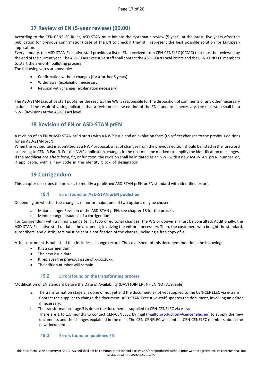## **17 Review of EN (5-year review) (90.00)**

<span id="page-16-0"></span>According to the CEN-CENELEC Rules, ASD-STAN must initiate the systematic review (5-year), at the latest, five years after the publication (or previous confirmation) date of the EN to check if they still represent the best possible solution for European application.

Every January, the ASD-STAN Executive staff provides a list of ENs received from CEN-CENELEC (CCMC) that must be reviewed by the end of the current year. The ASD-STAN Executive staff shall contact the ASD-STAN Focal Points and the CEN-CENELEC members to start the 3-month balloting process.

The following votes are possible:

- Confirmation without changes(for a further 5 years)
- Withdrawal (explanation necessary)
- Revision with changes(explanation necessary)

The ASD-STAN Executive staff publishes the results. The WG is responsible for the disposition of comments or any other necessary actions. If the result of voting indicates that a revision or new edition of the EN standard is necessary, the next step shall be a NWP (Revision) at the ASD-STAN level.

## **18 Revision of EN or ASD-STAN prEN**

<span id="page-16-1"></span>A revision of an EN or ASD-STAN prEN starts with a NWP issue and an evolution form (to reflect changes to the previous edition) for an ASD-STAN prEN.

When the revised text is submitted as a NWP proposal, a list of changes from the previous edition should be listed in the foreword according to CEN IR Part 3. For the NWP application, changes in the text must be marked to simplify the identification of changes. If the modifications affect form, fit, or function, the revision shall be initiated as an NWP with a new ASD-STAN prEN number or, if applicable, with a new code in the identity block of designation.

## **19 Corrigendum**

<span id="page-16-2"></span>This chapter describes the process to modify a published ASD-STAN prEN or EN standard with identified errors.

## **19.1 Errorfound on ASD-STAN prEN published**

<span id="page-16-3"></span>Depending on whether the change is minor or major, one of two options may be chosen:

- a. Major change: Revision of the ASD-STAN prEN, see chapter 18 for the process
- b. Minor change: Issuance of a corrigendum

For Corrigendum with a minor change (e. g., typo or editorial changes) the WG or Convener must be consulted. Additionally, the ASD-STAN Executive staff updates the document, involving the editor if necessary. Then, the customers who bought the standard, subscribers, and distributors must be sent a notification of the change, including a free copy of it.

A full document is published that includes a change record. The coversheet of this document mentions the following:

- It is a corrigendum
- The new issue date
- It replaces the previous issue of xx.xx.20xx.
- The edition number will remain

## **19.2 Errorsfound on the transforming process**

<span id="page-16-4"></span>Modification of EN standard before the Date of Availability (DAV) (DIN EN, NF EN NOT Available)

- a. The transformation stage 3 is done or not yet and the document is not yet supplied to the CEN-CENELEC via e-trans. Contact the supplier to change the document. ASD-STAN Executive staff updates the document, involving an editor if necessary.
- b. The transformation stage 3 is done; the document is supplied to CEN-CENELEC via e-trans. There are 1 to 1.5 months to contact CEN-CENELEC by mail [\(mailto:production@cencenelec.eu\)](mailto:production@cencenelec.eu) to supply the new documents and the changes explained in the mail. The CEN-CENELEC will contact CEN-CENELEC members about the new document.

## <span id="page-16-5"></span>**19.3 Errorsfound on published EN**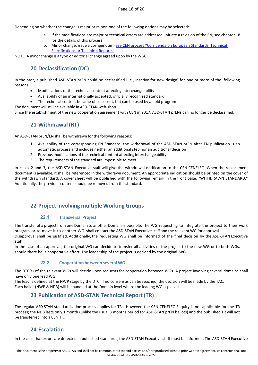Depending on whether the change is major or minor, one of the following options may be selected:

- a. If the modifications are major or technical errors are addressed, initiate a revision of the EN; see chapter 18 for the details of this process.
- b. Minor change: issue a corrigendum [\(see CEN process "Corrigenda on European Standards,](https://boss.cenelec.eu/homegrowndeliverables/maintenance/pages/corrclcpub/) Technical [Specifications or Technical Reports"\)](https://boss.cenelec.eu/homegrowndeliverables/maintenance/pages/corrclcpub/)

<span id="page-17-0"></span>NOTE: A minor change is a typo or editorial change agreed upon by the WGC.

# **20 Declassification (DC)**

In the past, a published ASD-STAN prEN could be declassified (i.e., inactive for new design) for one or more of the following reasons:

- Modifications of the technical content affecting interchangeability
- Availability of an internationally accepted, officially recognized standard
- The technical content became obsolescent, but can be used by an old program

The document will still be available in ASD-STAN web-shop.

<span id="page-17-1"></span>Since the establishment of the new cooperation agreement with CEN in 2017, ASD-STAN prENs can no longer be declassified.

# **21 Withdrawal (RT)**

An ASD-STAN prEN/EN shall be withdrawn for the following reasons:

- 1. Availability of the corresponding EN Standard; the withdrawal of the ASD-STAN prEN after EN publication is an automatic process and includes neither an additional step nor an additional decision
- 2. Previous modifications of the technical content affecting interchangeability
- 3. The requirements of the standard are impossible to meet

In cases 2 and 3, the ASD-STAN Executive staff will give the withdrawal notification to the CEN-CENELEC. When the replacement document is available, it shall be referenced in the withdrawn document. An appropriate indication should be printed on the cover of the withdrawn standard. A cover sheet will be published with the following remark in the front page: "WITHDRAWN STANDARD." Additionally, the previous content should be removed from the standard.

# <span id="page-17-2"></span>**22 Project involving multiple Working Groups**

## **22.1 Transversal Project**

<span id="page-17-3"></span>The transfer of a project from one Domain to another Domain is possible. The WG requesting to integrate the project to their work program or to move it to another WG shall contact the ASD-STAN Executive staff and the relevant WG for approval. Disapproval shall be justified. Additionally, the requesting WG shall be informed of the final decision by the ASD-STAN Executive staff.

In the case of an approval, the original WG can decide to transfer all activities of the project to the new WG or to both WGs, should there be a cooperative effort. The leadership of the project is decided by the original WG.

## **22.2 Cooperation between several WG**

<span id="page-17-4"></span>The DTC(s) of the relevant WGs will decide upon requests for cooperation between WGs. A project involving several domains shall have only one lead WG.

<span id="page-17-5"></span>The lead is defined at the NWP stage by the DTC. If no consensus can be reached, the decision will be made by the TAC. Each ballot (NWP & NDB) will be handled at the Domain level where the leading WG is placed.

## **23 Publication of ASD-STAN Technical Report (TR)**

The regular ASD-STAN standardization process applies for TRs. However, the CEN-CENELEC Enquiry is not applicable for the TR process; the NDB lasts only 1 month (unlike the usual 3 months period for ASD-STAN prEN ballots) and the published TR will not be transferred into a CEN TR.

## **24 Escalation**

<span id="page-17-6"></span>In the case that errors are detected in published standards, the ASD-STAN Executive staff must be informed. The ASD-STAN Executive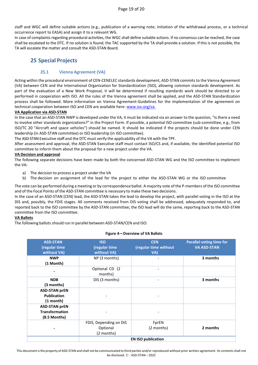staff and WGC will define suitable actions (e.g., publication of a warning note, initiation of the withdrawal process, or a technical occurrence report to EASA) and assign it to a relevant WG.

In case of complaints regarding procedural activities, the WGC shall define suitable actions. If no consensus can be reached, the case shall be escalated to the DTC. If no solution is found, the TAC supported by the TA shall provide a solution. If this is not possible, the TA will escalate the matter and consult the ASD-STAN Board.

## <span id="page-18-0"></span>**25 Special Projects**

## **25.1 Vienna Agreement (VA)**

<span id="page-18-1"></span>Acting within the procedural environment of CEN-CENELEC standards development, ASD-STAN commits to the Vienna Agreement (VA) between CEN and the International Organization for Standardization (ISO), allowing common standards development. As part of the evaluation of a New Work Proposal, it will be determined if resulting standards work should be directed to or performed in cooperation with ISO. All the rules of the Vienna agreement shall be applied, and the ASD-STAN Standardization process shall be followed. More information on Vienna Agreement-Guidelines for the implementation of the agreement on technical cooperation between ISO and CEN are available here: [www.iso.org/va.](http://www.iso.org/va.) 

#### **VA Application via ASD-STAN**

In the case that an ASD-STAN NWP is developed under the VA, it must be indicated via an answer to the question, "Is there a need to involve other standards organizations?" in the Project Form. If possible, a potential ISO committee (sub-committee, e.g., from ISO/TC 20 "Aircraft and space vehicles") should be named. It should be indicated if the projects should be done under CEN leadership (in ASD-STAN committee) or ISO leadership (in ISO committee).

The ASD-STAN Executive staff and the DTC must verify the applicability of the VA with the TPF.

After assessment and approval, the ASD-STAN Executive staff must contact ISO/CS and, if available, the identified potential ISO committee to inform them about the proposal for a new project under the VA.

#### **VA Decision and approval**

The following separate decisions have been made by both the concerned ASD-STAN WG and the ISO committee to implement the VA:

- a) The decision to process a project under the VA
- b) The decision on assignment of the lead for the project to either the ASD-STAN WG or the ISO committee

The vote can be performed during a meeting or by correspondence ballot. A majority vote of the P-members of the ISO committee and of the Focal Points of the ASD-STAN committee is necessary to make these two decisions.

In the case of an ASD-STAN (CEN) lead, the ASD-STAN takes the lead to develop the project, with parallel voting in the ISO at the DIS and, possibly, the FDIS stages. All comments received from DIS voting shall be addressed, adequately responded to, and reported back to the ISO committee by the ASD-STAN committee; the ISO lead will do the same, reporting back to the ASD-STAN committee from the ISO committee.

## **VA Ballots**

The following ballots should run in parallel between ASD-STAN/CEN and ISO:

#### **Figure 4—Overview of VA Ballots**

| <b>ASD-STAN</b><br>(regular time<br>without VA)                   | <b>ISO</b><br>(regular time<br>without VA)       | <b>CEN</b><br>(regular time without<br>VA) | <b>Parallel voting time for</b><br><b>VA ASD-STAN</b> |  |  |  |  |
|-------------------------------------------------------------------|--------------------------------------------------|--------------------------------------------|-------------------------------------------------------|--|--|--|--|
| <b>NWP</b><br>(1 Month)                                           | NP (3 months)                                    |                                            | 3 months                                              |  |  |  |  |
|                                                                   | Optional CD (2<br>months)                        |                                            |                                                       |  |  |  |  |
| <b>NDB</b><br>(3 months)                                          | DIS (3 months)                                   |                                            | 3 months                                              |  |  |  |  |
| <b>ASD-STAN prEN</b><br><b>Publication</b><br>$(1 \text{ month})$ |                                                  |                                            |                                                       |  |  |  |  |
| <b>ASD-STAN prEN</b><br><b>Transformation</b><br>(8.5 Months)     |                                                  |                                            |                                                       |  |  |  |  |
|                                                                   | FDIS, Depending on DIS<br>Optional<br>(2 months) | FprEN<br>(2 months)                        | 2 months                                              |  |  |  |  |
|                                                                   | <b>EN ISO publication</b>                        |                                            |                                                       |  |  |  |  |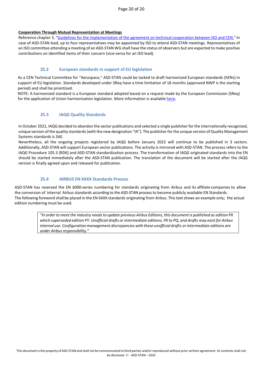#### **Cooperation Through Mutual Representation at Meetings**

Reference chapter 3, ["Guidelines for the implementation of the agreement on technical cooperation between ISO](https://boss.cen.eu/media/CEN/ref/va_guidelines_implementation.pdf) and CEN." In case of ASD-STAN lead, up to four representatives may be appointed by ISO to attend ASD-STAN meetings. Representatives of an ISO committee attending a meeting of an ASD-STAN WG shall have the status of observers but are expected to make positive contributions on identified items of their concern (vice-versa for an ISO lead).

## **25.2 European standards in support of EU legislation**

<span id="page-19-0"></span>As a CEN Technical Committee for "Aerospace," ASD-STAN could be tasked to draft harmonized European standards (hENs) in support of EU legislation. Standards developed under SReq have a time limitation of 18 months (approved NWP is the starting period) and shall be prioritized.

<span id="page-19-1"></span>NOTE: A harmonized standard is a European standard adopted based on a request made by the European Commission (SReq) for the application of Union harmonisation legislation. More information is available [here](https://boss.cen.eu/developingdeliverables/pages/en/pages/enforojeu/)**.** 

## **25.3 IAQG Quality Standards**

In October 2021, IAQG decided to abandon the sector publications and selected a single publisher for the internationally recognized, unique version of the quality standards (with the new designation "IA"). The publisher for the unique version of Quality Management Systems standards is SAE.

Nevertheless, all the ongoing projects registered by IAQG before January 2022 will continue to be published in 3 sectors. Additionally, ASD-STAN will support European sector publications. The activity is mirrored with ASD-STAN. The process refers to the IAQG Procedure 105.3 [RD6] and ASD-STAN standardization process. The transformation of IAQG originated standards into the EN should be started immediately after the ASD-STAN publication. The translation of the document will be started after the IAQG version is finally agreed upon and released for publication.

## **25.4 AIRBUS EN 6XXX Standards Process**

<span id="page-19-2"></span>ASD-STAN has reserved the EN 6000-series numbering for standards originating from Airbus and its affiliate companies to allow the conversion of internal Airbus standards according to the ASD-STAN process to become publicly available EN Standards. The following foreword shall be placed in the EN 6XXX standards originating from Airbus. This text shows an example only; the actual edition numbering must be used.

> "In order to meet the industry needs to update previous Airbus Editions, this document is published as edition PX which superseded edition PY. Unofficial drafts or intermediate editions, PX to PQ, and drafts may exist for Airbus *internal use. Configuration management discrepancies with these unofficial drafts or intermediate editions are under Airbus responsibility."*